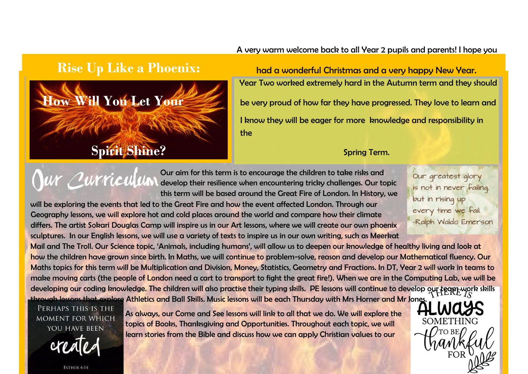## A very warm welcome back to all Year 2 pupils and parents! I hope you



**Rise Up Like a Phoenix:** had a wonderful Christmas and a very happy New Year. Year Two worked extremely hard in the Autumn term and they should **How Will You Let Your Servery proud of how far they have progressed. They love to learn and** I know they will be eager for more knowledge and responsibility in the

Our aim for this term is to encourage the children to take risks and dur alm for this term is to encourage the children to take risks and<br>March 2007 MCCU UM develop their resilience when encountering tricky challenges. Our topic this term will be based around the Great Fire of London. In History, we

will be exploring the events that led to the Great Fire and how the event affected London. Through our Geography lessons, we will explore hot and cold places around the world and compare how their climate differs. The artist Sokari Douglas Camp will inspire us in our Art lessons, where we will create our own phoenix sculptures. In our English lessons, we will use a variety of texts to inspire us in our own writing, such as Meerkat Our greatest glory is not in never failing, but in rising up every time we fail. -Ralph Waldo Emerson

Mail and The Troll. Our Science topic, 'Animals, including humans', will allow us to deepen our knowledge of healthy living and look at how the children have grown since birth. In Maths, we will continue to problem-solve, reason and develop our Mathematical fluency. Our Maths topics for this term will be Multiplication and Division, Money, Statistics, Geometry and Fractions. In DT, Year 2 will work in teams to make moving carts (the people of London need a cart to transport to fight the great fire!). When we are in the Computing Lab, we will be developing our coding knowledge. The children will also practise their typing skills. PE lessons will continue to develop our team work skills through lessons that explore Athletics and Ball Skills. Music lessons will be each Thursday with Mrs Horner and Mr Jones.

PERHAPS THIS IS THE **MOMENT FOR WHICH** YOU HAVE BEEN

ESTHER 4:14

As always, our Come and See lessons will link to all that we do. We will explore the topics of Books, Thanksgiving and Opportunities. Throughout each topic, we will learn stories from the Bible and discuss how we can apply Christian values to our